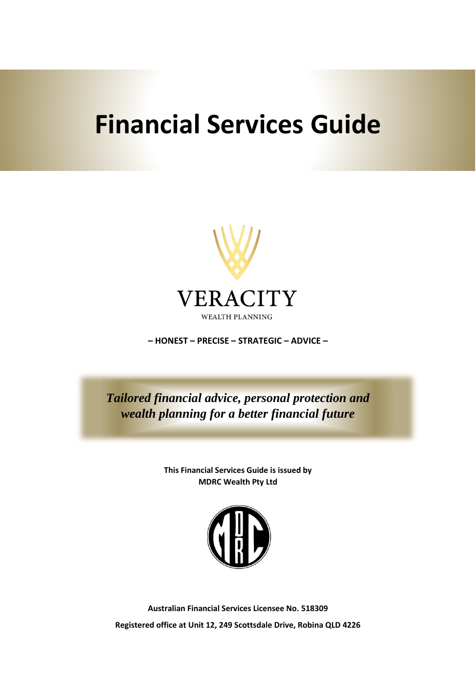# **Financial Services Guide**



**– HONEST – PRECISE – STRATEGIC – ADVICE –**

*Tailored financial advice, personal protection and wealth planning for a better financial future*

> **This Financial Services Guide is issued by MDRC Wealth Pty Ltd**



**Australian Financial Services Licensee No. 518309 Registered office at Unit 12, 249 Scottsdale Drive, Robina QLD 4226**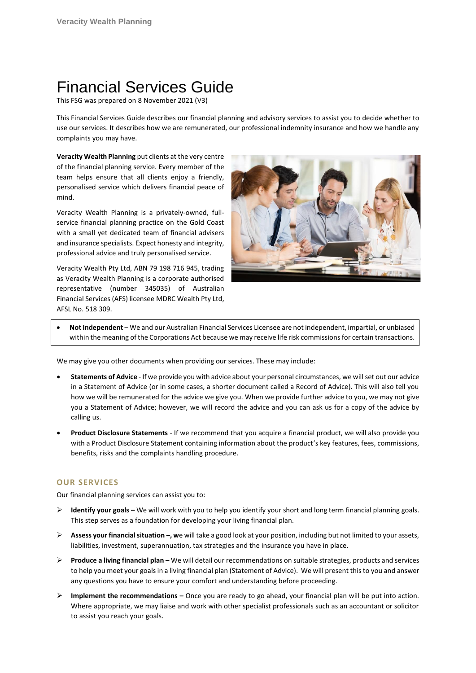# Financial Services Guide

This FSG was prepared on 8 November 2021 (V3)

This Financial Services Guide describes our financial planning and advisory services to assist you to decide whether to use our services. It describes how we are remunerated, our professional indemnity insurance and how we handle any complaints you may have.

**Veracity Wealth Planning** put clients at the very centre of the financial planning service. Every member of the team helps ensure that all clients enjoy a friendly, personalised service which delivers financial peace of mind.

Veracity Wealth Planning is a privately-owned, fullservice financial planning practice on the Gold Coast with a small yet dedicated team of financial advisers and insurance specialists. Expect honesty and integrity, professional advice and truly personalised service.

Veracity Wealth Pty Ltd, ABN 79 198 716 945, trading as Veracity Wealth Planning is a corporate authorised representative (number 345035) of Australian Financial Services (AFS) licensee MDRC Wealth Pty Ltd, AFSL No. 518 309.



• **Not Independent** – We and our Australian Financial Services Licensee are not independent, impartial, or unbiased within the meaning of the Corporations Act because we may receive life risk commissions for certain transactions.

We may give you other documents when providing our services. These may include:

- **Statements of Advice** If we provide you with advice about your personal circumstances, we will set out our advice in a Statement of Advice (or in some cases, a shorter document called a Record of Advice). This will also tell you how we will be remunerated for the advice we give you. When we provide further advice to you, we may not give you a Statement of Advice; however, we will record the advice and you can ask us for a copy of the advice by calling us.
- **Product Disclosure Statements** If we recommend that you acquire a financial product, we will also provide you with a Product Disclosure Statement containing information about the product's key features, fees, commissions, benefits, risks and the complaints handling procedure.

# **OUR SERVICES**

Our financial planning services can assist you to:

- ➢ **Identify your goals –** We will work with you to help you identify your short and long term financial planning goals. This step serves as a foundation for developing your living financial plan.
- ➢ **Assess your financial situation –, w**e will take a good look at your position, including but not limited to your assets, liabilities, investment, superannuation, tax strategies and the insurance you have in place.
- ➢ **Produce a living financial plan –** We will detail our recommendations on suitable strategies, products and services to help you meet your goals in a living financial plan (Statement of Advice). We will present this to you and answer any questions you have to ensure your comfort and understanding before proceeding.
- ➢ **Implement the recommendations –** Once you are ready to go ahead, your financial plan will be put into action. Where appropriate, we may liaise and work with other specialist professionals such as an accountant or solicitor to assist you reach your goals.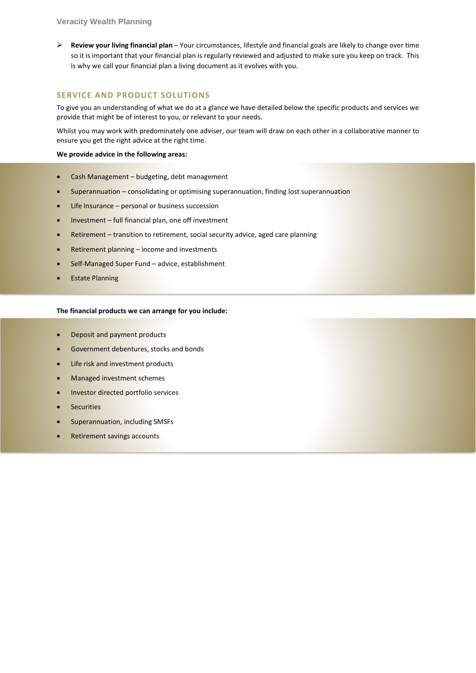➢ **Review your living financial plan** – Your circumstances, lifestyle and financial goals are likely to change over time so it is important that your financial plan is regularly reviewed and adjusted to make sure you keep on track. This is why we call your financial plan a living document as it evolves with you.

# **SERVICE AND PRODUCT SOLUTIONS**

To give you an understanding of what we do at a glance we have detailed below the specific products and services we provide that might be of interest to you, or relevant to your needs.

Whilst you may work with predominately one adviser, our team will draw on each other in a collaborative manner to ensure you get the right advice at the right time.

#### **We provide advice in the following areas:**

- Cash Management budgeting, debt management
- Superannuation consolidating or optimising superannuation, finding lost superannuation
- Life Insurance personal or business succession
- Investment full financial plan, one off investment
- Retirement transition to retirement, social security advice, aged care planning
- Retirement planning income and investments
- Self-Managed Super Fund advice, establishment
- Estate Planning

#### **The financial products we can arrange for you include:**

- Deposit and payment products
- Government debentures, stocks and bonds
- Life risk and investment products
- Managed investment schemes
- Investor directed portfolio services
- **Securities**
- Superannuation, including SMSFs
- Retirement savings accounts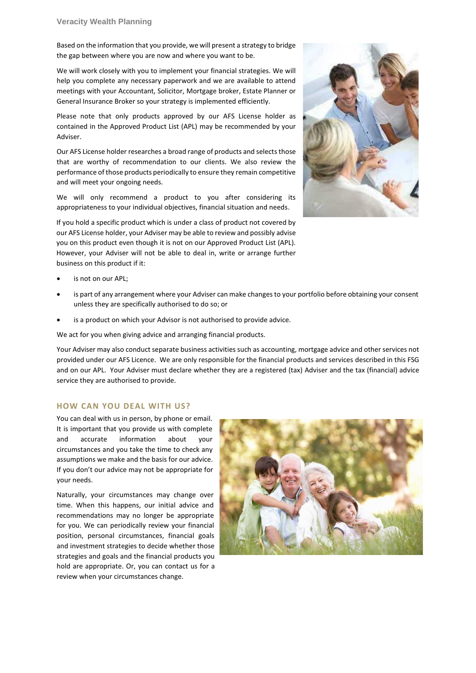Based on the information that you provide, we will present a strategy to bridge the gap between where you are now and where you want to be.

We will work closely with you to implement your financial strategies. We will help you complete any necessary paperwork and we are available to attend meetings with your Accountant, Solicitor, Mortgage broker, Estate Planner or General Insurance Broker so your strategy is implemented efficiently.

Please note that only products approved by our AFS License holder as contained in the Approved Product List (APL) may be recommended by your Adviser.

Our AFS License holder researches a broad range of products and selects those that are worthy of recommendation to our clients. We also review the performance of those products periodically to ensure they remain competitive and will meet your ongoing needs.

We will only recommend a product to you after considering its appropriateness to your individual objectives, financial situation and needs.

If you hold a specific product which is under a class of product not covered by our AFS License holder, your Adviser may be able to review and possibly advise you on this product even though it is not on our Approved Product List (APL). However, your Adviser will not be able to deal in, write or arrange further business on this product if it:



- is not on our APL:
- is part of any arrangement where your Adviser can make changes to your portfolio before obtaining your consent unless they are specifically authorised to do so; or
- is a product on which your Advisor is not authorised to provide advice.

We act for you when giving advice and arranging financial products.

Your Adviser may also conduct separate business activities such as accounting, mortgage advice and other services not provided under our AFS Licence. We are only responsible for the financial products and services described in this FSG and on our APL. Your Adviser must declare whether they are a registered (tax) Adviser and the tax (financial) advice service they are authorised to provide.

# **HOW CAN YOU DEAL WITH US?**

You can deal with us in person, by phone or email. It is important that you provide us with complete and accurate information about your circumstances and you take the time to check any assumptions we make and the basis for our advice. If you don't our advice may not be appropriate for your needs.

Naturally, your circumstances may change over time. When this happens, our initial advice and recommendations may no longer be appropriate for you. We can periodically review your financial position, personal circumstances, financial goals and investment strategies to decide whether those strategies and goals and the financial products you hold are appropriate. Or, you can contact us for a review when your circumstances change.

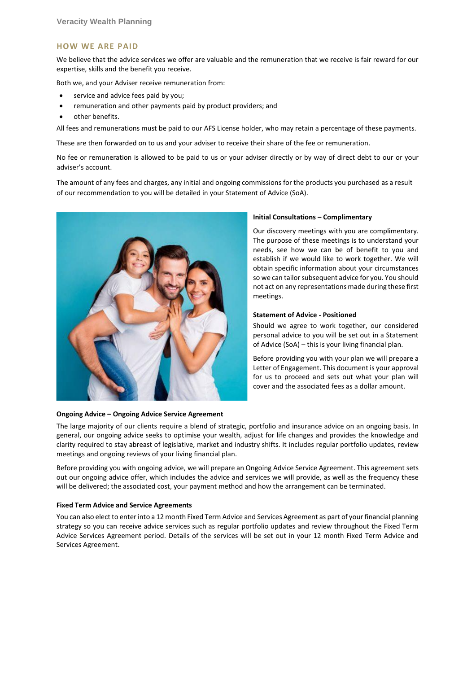#### **HOW WE ARE PAID**

We believe that the advice services we offer are valuable and the remuneration that we receive is fair reward for our expertise, skills and the benefit you receive.

Both we, and your Adviser receive remuneration from:

- service and advice fees paid by you;
- remuneration and other payments paid by product providers; and
- other benefits.

All fees and remunerations must be paid to our AFS License holder, who may retain a percentage of these payments.

These are then forwarded on to us and your adviser to receive their share of the fee or remuneration.

No fee or remuneration is allowed to be paid to us or your adviser directly or by way of direct debt to our or your adviser's account.

The amount of any fees and charges, any initial and ongoing commissions for the products you purchased as a result of our recommendation to you will be detailed in your Statement of Advice (SoA).



#### **Ongoing Advice – Ongoing Advice Service Agreement**

#### **Initial Consultations – Complimentary**

Our discovery meetings with you are complimentary. The purpose of these meetings is to understand your needs, see how we can be of benefit to you and establish if we would like to work together. We will obtain specific information about your circumstances so we can tailor subsequent advice for you. You should not act on any representations made during these first meetings.

#### **Statement of Advice - Positioned**

Should we agree to work together, our considered personal advice to you will be set out in a Statement of Advice (SoA) – this is your living financial plan.

Before providing you with your plan we will prepare a Letter of Engagement. This document is your approval for us to proceed and sets out what your plan will cover and the associated fees as a dollar amount.

The large majority of our clients require a blend of strategic, portfolio and insurance advice on an ongoing basis. In general, our ongoing advice seeks to optimise your wealth, adjust for life changes and provides the knowledge and clarity required to stay abreast of legislative, market and industry shifts. It includes regular portfolio updates, review meetings and ongoing reviews of your living financial plan.

Before providing you with ongoing advice, we will prepare an Ongoing Advice Service Agreement. This agreement sets out our ongoing advice offer, which includes the advice and services we will provide, as well as the frequency these will be delivered; the associated cost, your payment method and how the arrangement can be terminated.

#### **Fixed Term Advice and Service Agreements**

You can also elect to enter into a 12 month Fixed Term Advice and Services Agreement as part of your financial planning strategy so you can receive advice services such as regular portfolio updates and review throughout the Fixed Term Advice Services Agreement period. Details of the services will be set out in your 12 month Fixed Term Advice and Services Agreement.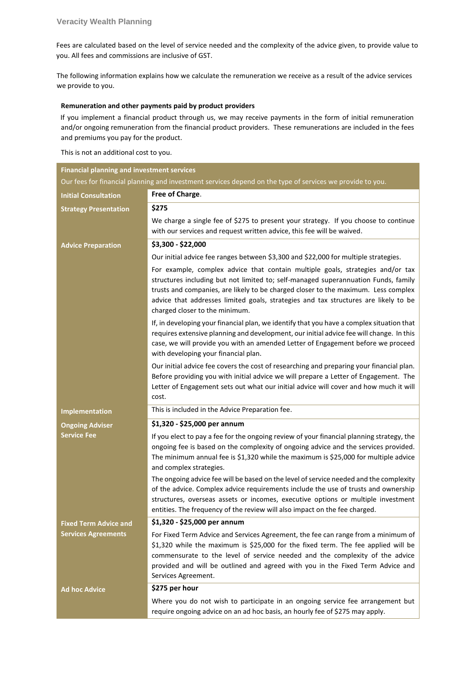Fees are calculated based on the level of service needed and the complexity of the advice given, to provide value to you. All fees and commissions are inclusive of GST.

The following information explains how we calculate the remuneration we receive as a result of the advice services we provide to you.

#### **Remuneration and other payments paid by product providers**

If you implement a financial product through us, we may receive payments in the form of initial remuneration and/or ongoing remuneration from the financial product providers. These remunerations are included in the fees and premiums you pay for the product.

This is not an additional cost to you.

| <b>Financial planning and investment services</b>                                                         |                                                                                                                                                                                                                                                                                                                                                                                     |  |
|-----------------------------------------------------------------------------------------------------------|-------------------------------------------------------------------------------------------------------------------------------------------------------------------------------------------------------------------------------------------------------------------------------------------------------------------------------------------------------------------------------------|--|
| Our fees for financial planning and investment services depend on the type of services we provide to you. |                                                                                                                                                                                                                                                                                                                                                                                     |  |
| <b>Initial Consultation</b>                                                                               | Free of Charge.                                                                                                                                                                                                                                                                                                                                                                     |  |
| <b>Strategy Presentation</b>                                                                              | \$275                                                                                                                                                                                                                                                                                                                                                                               |  |
|                                                                                                           | We charge a single fee of \$275 to present your strategy. If you choose to continue<br>with our services and request written advice, this fee will be waived.                                                                                                                                                                                                                       |  |
| <b>Advice Preparation</b>                                                                                 | \$3,300 - \$22,000                                                                                                                                                                                                                                                                                                                                                                  |  |
|                                                                                                           | Our initial advice fee ranges between \$3,300 and \$22,000 for multiple strategies.                                                                                                                                                                                                                                                                                                 |  |
|                                                                                                           | For example, complex advice that contain multiple goals, strategies and/or tax<br>structures including but not limited to; self-managed superannuation Funds, family<br>trusts and companies, are likely to be charged closer to the maximum. Less complex<br>advice that addresses limited goals, strategies and tax structures are likely to be<br>charged closer to the minimum. |  |
|                                                                                                           | If, in developing your financial plan, we identify that you have a complex situation that<br>requires extensive planning and development, our initial advice fee will change. In this<br>case, we will provide you with an amended Letter of Engagement before we proceed<br>with developing your financial plan.                                                                   |  |
|                                                                                                           | Our initial advice fee covers the cost of researching and preparing your financial plan.<br>Before providing you with initial advice we will prepare a Letter of Engagement. The<br>Letter of Engagement sets out what our initial advice will cover and how much it will<br>cost.                                                                                                  |  |
| <b>Implementation</b>                                                                                     | This is included in the Advice Preparation fee.                                                                                                                                                                                                                                                                                                                                     |  |
| <b>Ongoing Adviser</b>                                                                                    | \$1,320 - \$25,000 per annum                                                                                                                                                                                                                                                                                                                                                        |  |
| <b>Service Fee</b>                                                                                        | If you elect to pay a fee for the ongoing review of your financial planning strategy, the<br>ongoing fee is based on the complexity of ongoing advice and the services provided.<br>The minimum annual fee is \$1,320 while the maximum is \$25,000 for multiple advice<br>and complex strategies.                                                                                  |  |
|                                                                                                           | The ongoing advice fee will be based on the level of service needed and the complexity<br>of the advice. Complex advice requirements include the use of trusts and ownership<br>structures, overseas assets or incomes, executive options or multiple investment<br>entities. The frequency of the review will also impact on the fee charged.                                      |  |
| <b>Fixed Term Advice and</b>                                                                              | \$1,320 - \$25,000 per annum                                                                                                                                                                                                                                                                                                                                                        |  |
| <b>Services Agreements</b>                                                                                | For Fixed Term Advice and Services Agreement, the fee can range from a minimum of<br>\$1,320 while the maximum is \$25,000 for the fixed term. The fee applied will be<br>commensurate to the level of service needed and the complexity of the advice<br>provided and will be outlined and agreed with you in the Fixed Term Advice and<br>Services Agreement.                     |  |
| <b>Ad hoc Advice</b>                                                                                      | \$275 per hour                                                                                                                                                                                                                                                                                                                                                                      |  |
|                                                                                                           | Where you do not wish to participate in an ongoing service fee arrangement but<br>require ongoing advice on an ad hoc basis, an hourly fee of \$275 may apply.                                                                                                                                                                                                                      |  |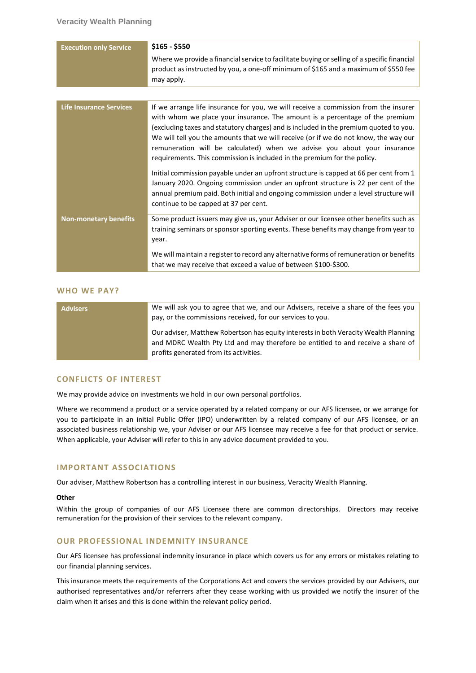| <b>Execution only Service</b>  | \$165 - \$550                                                                                                                                                                                                                                                                                                                                                                                                                                                                                                |
|--------------------------------|--------------------------------------------------------------------------------------------------------------------------------------------------------------------------------------------------------------------------------------------------------------------------------------------------------------------------------------------------------------------------------------------------------------------------------------------------------------------------------------------------------------|
|                                | Where we provide a financial service to facilitate buying or selling of a specific financial<br>product as instructed by you, a one-off minimum of \$165 and a maximum of \$550 fee<br>may apply.                                                                                                                                                                                                                                                                                                            |
|                                |                                                                                                                                                                                                                                                                                                                                                                                                                                                                                                              |
| <b>Life Insurance Services</b> | If we arrange life insurance for you, we will receive a commission from the insurer<br>with whom we place your insurance. The amount is a percentage of the premium<br>(excluding taxes and statutory charges) and is included in the premium quoted to you.<br>We will tell you the amounts that we will receive (or if we do not know, the way our<br>remuneration will be calculated) when we advise you about your insurance<br>requirements. This commission is included in the premium for the policy. |
|                                | Initial commission payable under an upfront structure is capped at 66 per cent from 1<br>January 2020. Ongoing commission under an upfront structure is 22 per cent of the<br>annual premium paid. Both initial and ongoing commission under a level structure will<br>continue to be capped at 37 per cent.                                                                                                                                                                                                 |
| Non-monetary benefits          | Some product issuers may give us, your Adviser or our licensee other benefits such as<br>training seminars or sponsor sporting events. These benefits may change from year to<br>year.                                                                                                                                                                                                                                                                                                                       |
|                                | We will maintain a register to record any alternative forms of remuneration or benefits<br>that we may receive that exceed a value of between \$100-\$300.                                                                                                                                                                                                                                                                                                                                                   |

#### **WHO WE PAY?**

| <b>Advisers</b> | We will ask you to agree that we, and our Advisers, receive a share of the fees you<br>pay, or the commissions received, for our services to you.                                                                 |
|-----------------|-------------------------------------------------------------------------------------------------------------------------------------------------------------------------------------------------------------------|
|                 | Our adviser, Matthew Robertson has equity interests in both Veracity Wealth Planning<br>and MDRC Wealth Pty Ltd and may therefore be entitled to and receive a share of<br>profits generated from its activities. |

#### **CONFLICTS OF INTEREST**

We may provide advice on investments we hold in our own personal portfolios.

Where we recommend a product or a service operated by a related company or our AFS licensee, or we arrange for you to participate in an initial Public Offer (IPO) underwritten by a related company of our AFS licensee, or an associated business relationship we, your Adviser or our AFS licensee may receive a fee for that product or service. When applicable, your Adviser will refer to this in any advice document provided to you.

# **IMPORTANT ASSOCIATIONS**

Our adviser, Matthew Robertson has a controlling interest in our business, Veracity Wealth Planning.

#### **Other**

Within the group of companies of our AFS Licensee there are common directorships. Directors may receive remuneration for the provision of their services to the relevant company.

#### **OUR PROFESSIONAL INDEMNITY INSURANCE**

Our AFS licensee has professional indemnity insurance in place which covers us for any errors or mistakes relating to our financial planning services.

This insurance meets the requirements of the Corporations Act and covers the services provided by our Advisers, our authorised representatives and/or referrers after they cease working with us provided we notify the insurer of the claim when it arises and this is done within the relevant policy period.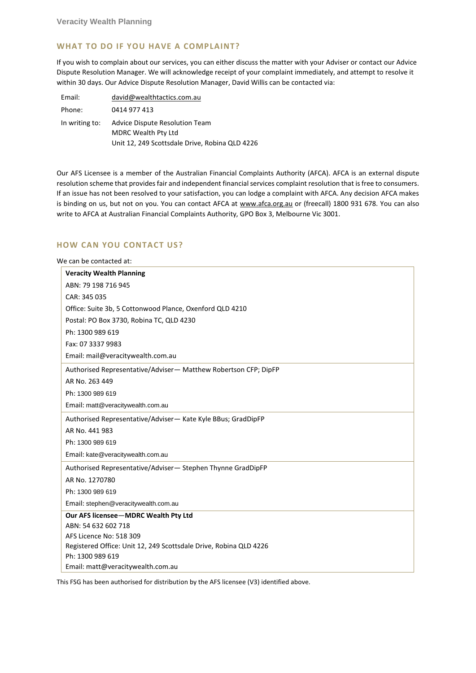# **WHAT TO DO IF YOU HAVE A COMPLAINT?**

If you wish to complain about our services, you can either discuss the matter with your Adviser or contact our Advice Dispute Resolution Manager. We will acknowledge receipt of your complaint immediately, and attempt to resolve it within 30 days. Our Advice Dispute Resolution Manager, David Willis can be contacted via:

| Email:         | david@wealthtactics.com.au                     |
|----------------|------------------------------------------------|
| Phone:         | 0414 977 413                                   |
| In writing to: | Advice Dispute Resolution Team                 |
|                | <b>MDRC Wealth Pty Ltd</b>                     |
|                | Unit 12, 249 Scottsdale Drive, Robina QLD 4226 |

Our AFS Licensee is a member of the Australian Financial Complaints Authority (AFCA). AFCA is an external dispute resolution scheme that provides fair and independent financial services complaint resolution that is free to consumers. If an issue has not been resolved to your satisfaction, you can lodge a complaint with AFCA. Any decision AFCA makes is binding on us, but not on you. You can contact AFCA at [www.afca.org.au](http://www.afca.org.au/) or (freecall) 1800 931 678. You can also write to AFCA at Australian Financial Complaints Authority, GPO Box 3, Melbourne Vic 3001.

# **HOW CAN YOU CONTACT US?**

We can be contacted at:

| <b>Veracity Wealth Planning</b>                                   |
|-------------------------------------------------------------------|
| ABN: 79 198 716 945                                               |
| CAR: 345 035                                                      |
| Office: Suite 3b, 5 Cottonwood Plance, Oxenford QLD 4210          |
| Postal: PO Box 3730, Robina TC, QLD 4230                          |
| Ph: 1300 989 619                                                  |
| Fax: 07 3337 9983                                                 |
| Email: mail@veracitywealth.com.au                                 |
| Authorised Representative/Adviser-Matthew Robertson CFP; DipFP    |
| AR No. 263 449                                                    |
| Ph: 1300 989 619                                                  |
| Email: matt@veracitywealth.com.au                                 |
| Authorised Representative/Adviser-Kate Kyle BBus; GradDipFP       |
| AR No. 441 983                                                    |
| Ph: 1300 989 619                                                  |
| Email: kate@veracitywealth.com.au                                 |
| Authorised Representative/Adviser-Stephen Thynne GradDipFP        |
| AR No. 1270780                                                    |
| Ph: 1300 989 619                                                  |
| Email: stephen@veracitywealth.com.au                              |
| Our AFS licensee-MDRC Wealth Pty Ltd                              |
| ABN: 54 632 602 718                                               |
| AFS Licence No: 518 309                                           |
| Registered Office: Unit 12, 249 Scottsdale Drive, Robina QLD 4226 |
| Ph: 1300 989 619                                                  |
| Email: matt@veracitywealth.com.au                                 |

This FSG has been authorised for distribution by the AFS licensee (V3) identified above.